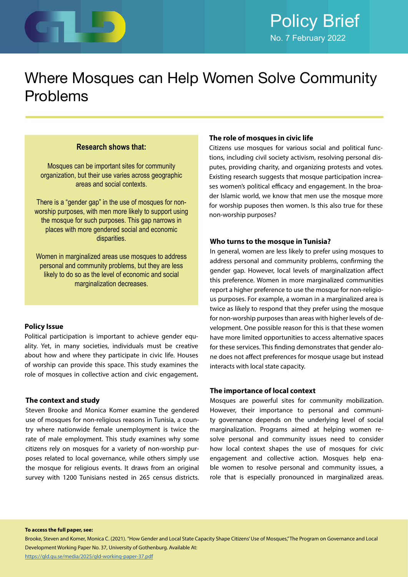

# Where Mosques can Help Women Solve Community Problems

### **Research shows that:**

Mosques can be important sites for community organization, but their use varies across geographic areas and social contexts.

There is a "gender gap" in the use of mosques for nonworship purposes, with men more likely to support using the mosque for such purposes. This gap narrows in places with more gendered social and economic disparities.

Women in marginalized areas use mosques to address personal and community problems, but they are less likely to do so as the level of economic and social marginalization decreases.

#### **Policy Issue**

Political participation is important to achieve gender equality. Yet, in many societies, individuals must be creative about how and where they participate in civic life. Houses of worship can provide this space. This study examines the role of mosques in collective action and civic engagement**.**

#### **The context and study**

Steven Brooke and Monica Komer examine the gendered use of mosques for non-religious reasons in Tunisia, a country where nationwide female unemployment is twice the rate of male employment. This study examines why some citizens rely on mosques for a variety of non-worship purposes related to local governance, while others simply use the mosque for religious events. It draws from an original survey with 1200 Tunisians nested in 265 census districts.

#### **The role of mosques in civic life**

Citizens use mosques for various social and political functions, including civil society activism, resolving personal disputes, providing charity, and organizing protests and votes. Existing research suggests that mosque participation increases women's political efficacy and engagement. In the broader Islamic world, we know that men use the mosque more for worship puposes then women. Is this also true for these non-worship purposes?

#### **Who turns to the mosque in Tunisia?**

In general, women are less likely to prefer using mosques to address personal and community problems, confirming the gender gap. However, local levels of marginalization affect this preference. Women in more marginalized communities report a higher preference to use the mosque for non-religious purposes. For example, a woman in a marginalized area is twice as likely to respond that they prefer using the mosque for non-worship purposes than areas with higher levels of development. One possible reason for this is that these women have more limited opportunities to access alternative spaces for these services. This finding demonstrates that gender alone does not affect preferences for mosque usage but instead interacts with local state capacity.

#### **The importance of local context**

Mosques are powerful sites for community mobilization. However, their importance to personal and community governance depends on the underlying level of social marginalization. Programs aimed at helping women resolve personal and community issues need to consider how local context shapes the use of mosques for civic engagement and collective action. Mosques help enable women to resolve personal and community issues, a role that is especially pronounced in marginalized areas.

**To access the full paper, see:**

Brooke, Steven and Komer, Monica C. (2021). "How Gender and Local State Capacity Shape Citizens' Use of Mosques," The Program on Governance and Local Development Working Paper No. 37, University of Gothenburg. Available At: <https://gld.gu.se/media/2025/gld-working-paper-37.pdf>